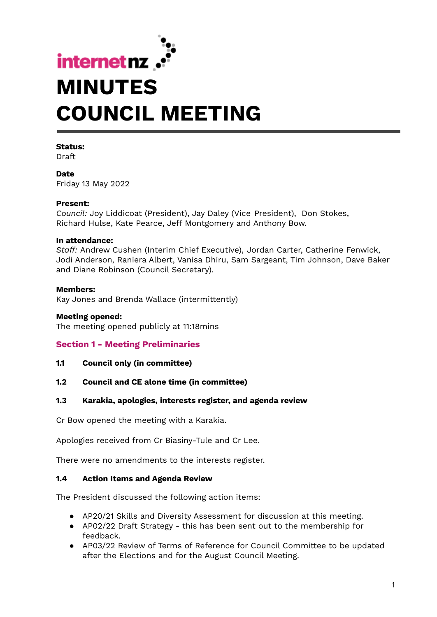

#### **Status:**

Draft

**Date** Friday 13 May 2022

#### **Present:**

*Council:* Joy Liddicoat (President), Jay Daley (Vice President), Don Stokes, Richard Hulse, Kate Pearce, Jeff Montgomery and Anthony Bow.

#### **In attendance:**

*Staff:* Andrew Cushen (Interim Chief Executive), Jordan Carter, Catherine Fenwick, Jodi Anderson, Raniera Albert, Vanisa Dhiru, Sam Sargeant, Tim Johnson, Dave Baker and Diane Robinson (Council Secretary).

#### **Members:**

Kay Jones and Brenda Wallace (intermittently)

#### **Meeting opened:**

The meeting opened publicly at 11:18mins

### **Section 1 - Meeting Preliminaries**

**1.1 Council only (in committee)**

### **1.2 Council and CE alone time (in committee)**

### **1.3 Karakia, apologies, interests register, and agenda review**

Cr Bow opened the meeting with a Karakia.

Apologies received from Cr Biasiny-Tule and Cr Lee.

There were no amendments to the interests register.

### **1.4 Action Items and Agenda Review**

The President discussed the following action items:

- AP20/21 Skills and Diversity Assessment for discussion at this meeting.
- AP02/22 Draft Strategy this has been sent out to the membership for feedback.
- AP03/22 Review of Terms of Reference for Council Committee to be updated after the Elections and for the August Council Meeting.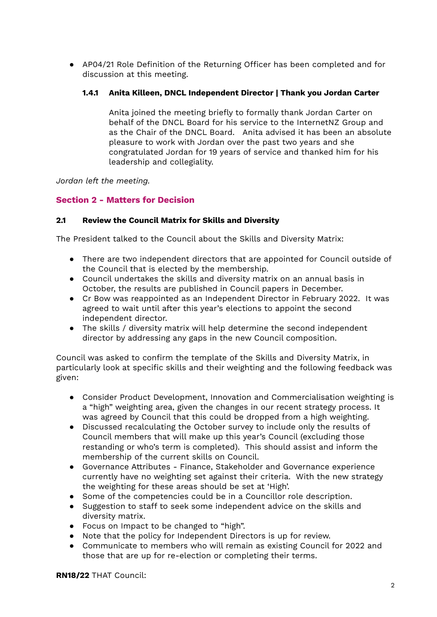● AP04/21 Role Definition of the Returning Officer has been completed and for discussion at this meeting.

## **1.4.1 Anita Killeen, DNCL Independent Director | Thank you Jordan Carter**

Anita joined the meeting briefly to formally thank Jordan Carter on behalf of the DNCL Board for his service to the InternetNZ Group and as the Chair of the DNCL Board. Anita advised it has been an absolute pleasure to work with Jordan over the past two years and she congratulated Jordan for 19 years of service and thanked him for his leadership and collegiality.

*Jordan left the meeting.*

# **Section 2 - Matters for Decision**

### **2.1 Review the Council Matrix for Skills and Diversity**

The President talked to the Council about the Skills and Diversity Matrix:

- There are two independent directors that are appointed for Council outside of the Council that is elected by the membership.
- Council undertakes the skills and diversity matrix on an annual basis in October, the results are published in Council papers in December.
- Cr Bow was reappointed as an Independent Director in February 2022. It was agreed to wait until after this year's elections to appoint the second independent director.
- The skills / diversity matrix will help determine the second independent director by addressing any gaps in the new Council composition.

Council was asked to confirm the template of the Skills and Diversity Matrix, in particularly look at specific skills and their weighting and the following feedback was given:

- Consider Product Development, Innovation and Commercialisation weighting is a "high" weighting area, given the changes in our recent strategy process. It was agreed by Council that this could be dropped from a high weighting.
- Discussed recalculating the October survey to include only the results of Council members that will make up this year's Council (excluding those restanding or who's term is completed). This should assist and inform the membership of the current skills on Council.
- Governance Attributes Finance, Stakeholder and Governance experience currently have no weighting set against their criteria. With the new strategy the weighting for these areas should be set at 'High'.
- Some of the competencies could be in a Councillor role description.
- Suggestion to staff to seek some independent advice on the skills and diversity matrix.
- Focus on Impact to be changed to "high".
- Note that the policy for Independent Directors is up for review.
- Communicate to members who will remain as existing Council for 2022 and those that are up for re-election or completing their terms.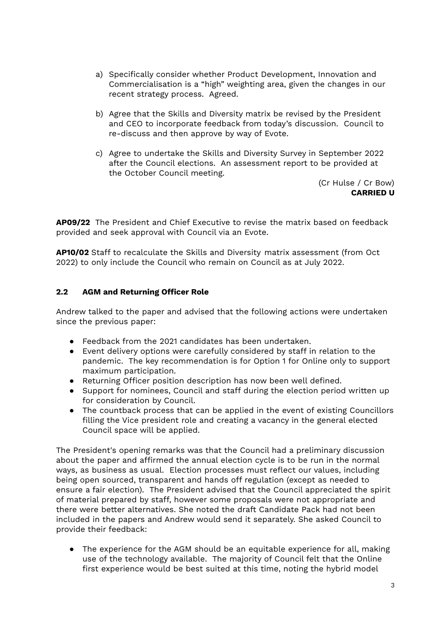- a) Specifically consider whether Product Development, Innovation and Commercialisation is a "high" weighting area, given the changes in our recent strategy process. Agreed.
- b) Agree that the Skills and Diversity matrix be revised by the President and CEO to incorporate feedback from today's discussion. Council to re-discuss and then approve by way of Evote.
- c) Agree to undertake the Skills and Diversity Survey in September 2022 after the Council elections. An assessment report to be provided at the October Council meeting.

(Cr Hulse / Cr Bow) **CARRIED U**

**AP09/22** The President and Chief Executive to revise the matrix based on feedback provided and seek approval with Council via an Evote.

**AP10/02** Staff to recalculate the Skills and Diversity matrix assessment (from Oct 2022) to only include the Council who remain on Council as at July 2022.

### **2.2 AGM and Returning Officer Role**

Andrew talked to the paper and advised that the following actions were undertaken since the previous paper:

- Feedback from the 2021 candidates has been undertaken.
- Event delivery options were carefully considered by staff in relation to the pandemic. The key recommendation is for Option 1 for Online only to support maximum participation.
- Returning Officer position description has now been well defined.
- Support for nominees, Council and staff during the election period written up for consideration by Council.
- The countback process that can be applied in the event of existing Councillors filling the Vice president role and creating a vacancy in the general elected Council space will be applied.

The President's opening remarks was that the Council had a preliminary discussion about the paper and affirmed the annual election cycle is to be run in the normal ways, as business as usual. Election processes must reflect our values, including being open sourced, transparent and hands off regulation (except as needed to ensure a fair election). The President advised that the Council appreciated the spirit of material prepared by staff, however some proposals were not appropriate and there were better alternatives. She noted the draft Candidate Pack had not been included in the papers and Andrew would send it separately. She asked Council to provide their feedback:

**●** The experience for the AGM should be an equitable experience for all, making use of the technology available. The majority of Council felt that the Online first experience would be best suited at this time, noting the hybrid model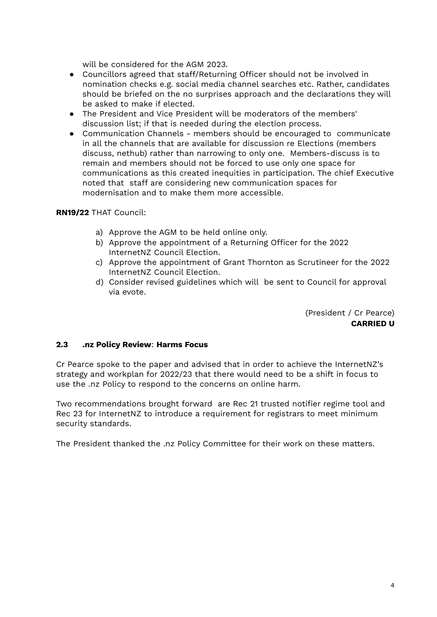will be considered for the AGM 2023.

- **●** Councillors agreed that staff/Returning Officer should not be involved in nomination checks e.g. social media channel searches etc. Rather, candidates should be briefed on the no surprises approach and the declarations they will be asked to make if elected.
- **●** The President and Vice President will be moderators of the members' discussion list; if that is needed during the election process.
- **●** Communication Channels members should be encouraged to communicate in all the channels that are available for discussion re Elections (members discuss, nethub) rather than narrowing to only one. Members-discuss is to remain and members should not be forced to use only one space for communications as this created inequities in participation. The chief Executive noted that staff are considering new communication spaces for modernisation and to make them more accessible.

### **RN19/22** THAT Council:

- a) Approve the AGM to be held online only.
- b) Approve the appointment of a Returning Officer for the 2022 InternetNZ Council Election.
- c) Approve the appointment of Grant Thornton as Scrutineer for the 2022 InternetNZ Council Election.
- d) Consider revised guidelines which will be sent to Council for approval via evote.

(President / Cr Pearce) **CARRIED U**

### **2.3 .nz Policy Review**: **Harms Focus**

Cr Pearce spoke to the paper and advised that in order to achieve the InternetNZ's strategy and workplan for 2022/23 that there would need to be a shift in focus to use the .nz Policy to respond to the concerns on online harm.

Two recommendations brought forward are Rec 21 trusted notifier regime tool and Rec 23 for InternetNZ to introduce a requirement for registrars to meet minimum security standards.

The President thanked the .nz Policy Committee for their work on these matters.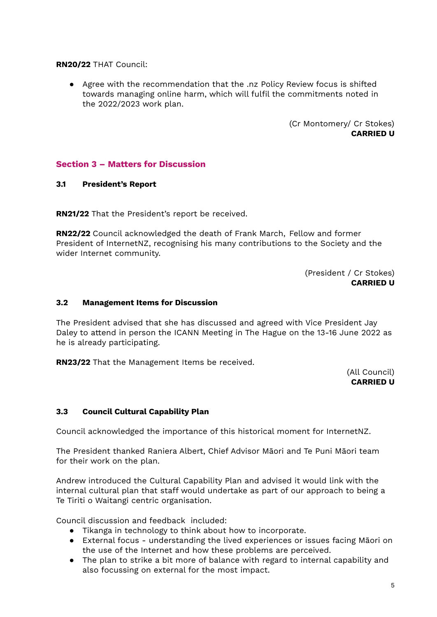**RN20/22** THAT Council:

● Agree with the recommendation that the .nz Policy Review focus is shifted towards managing online harm, which will fulfil the commitments noted in the 2022/2023 work plan.

> (Cr Montomery/ Cr Stokes) **CARRIED U**

### **Section 3 – Matters for Discussion**

### **3.1 President's Report**

**RN21/22** That the President's report be received.

**RN22/22** Council acknowledged the death of Frank March, Fellow and former President of InternetNZ, recognising his many contributions to the Society and the wider Internet community.

> (President / Cr Stokes) **CARRIED U**

#### **3.2 Management Items for Discussion**

The President advised that she has discussed and agreed with Vice President Jay Daley to attend in person the ICANN Meeting in The Hague on the 13-16 June 2022 as he is already participating.

**RN23/22** That the Management Items be received.

(All Council) **CARRIED U**

### **3.3 Council Cultural Capability Plan**

Council acknowledged the importance of this historical moment for InternetNZ.

The President thanked Raniera Albert, Chief Advisor Māori and Te Puni Māori team for their work on the plan.

Andrew introduced the Cultural Capability Plan and advised it would link with the internal cultural plan that staff would undertake as part of our approach to being a Te Tiriti o Waitangi centric organisation.

Council discussion and feedback included:

- Tikanga in technology to think about how to incorporate.
- External focus understanding the lived experiences or issues facing Māori on the use of the Internet and how these problems are perceived.
- The plan to strike a bit more of balance with regard to internal capability and also focussing on external for the most impact.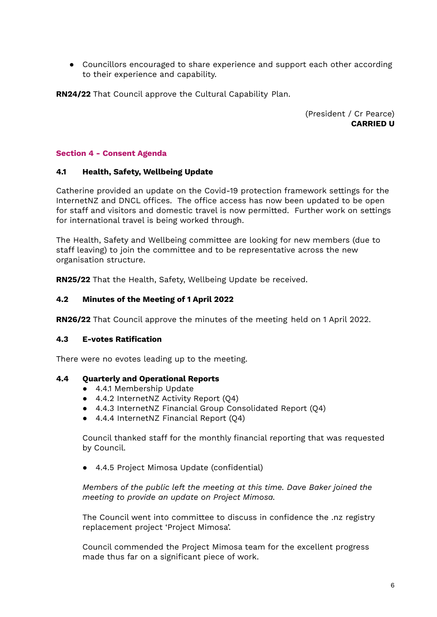● Councillors encouraged to share experience and support each other according to their experience and capability.

**RN24/22** That Council approve the Cultural Capability Plan.

(President / Cr Pearce) **CARRIED U**

### **Section 4 - Consent Agenda**

### **4.1 Health, Safety, Wellbeing Update**

Catherine provided an update on the Covid-19 protection framework settings for the InternetNZ and DNCL offices. The office access has now been updated to be open for staff and visitors and domestic travel is now permitted. Further work on settings for international travel is being worked through.

The Health, Safety and Wellbeing committee are looking for new members (due to staff leaving) to join the committee and to be representative across the new organisation structure.

**RN25/22** That the Health, Safety, Wellbeing Update be received.

### **4.2 Minutes of the Meeting of 1 April 2022**

**RN26/22** That Council approve the minutes of the meeting held on 1 April 2022.

### **4.3 E-votes Ratification**

There were no evotes leading up to the meeting.

### **4.4 Quarterly and Operational Reports**

- 4.4.1 Membership Update
- 4.4.2 InternetNZ Activity Report (Q4)
- 4.4.3 InternetNZ Financial Group Consolidated Report (Q4)
- 4.4.4 InternetNZ Financial Report (Q4)

Council thanked staff for the monthly financial reporting that was requested by Council.

● 4.4.5 Project Mimosa Update (confidential)

*Members of the public left the meeting at this time. Dave Baker joined the meeting to provide an update on Project Mimosa.*

The Council went into committee to discuss in confidence the .nz registry replacement project 'Project Mimosa'.

Council commended the Project Mimosa team for the excellent progress made thus far on a significant piece of work.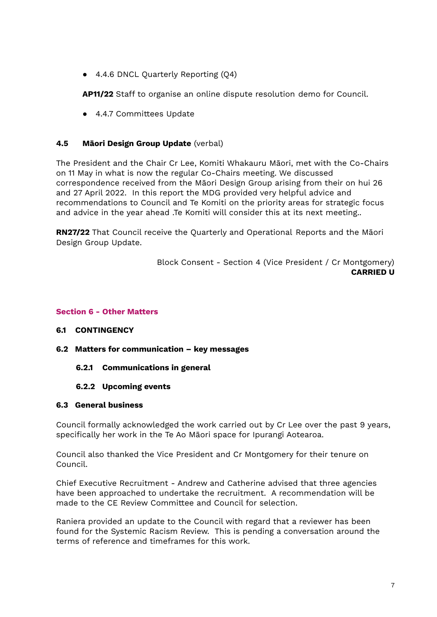● 4.4.6 DNCL Quarterly Reporting (Q4)

**AP11/22** Staff to organise an online dispute resolution demo for Council.

● 4.4.7 Committees Update

### **4.5 Māori Design Group Update** (verbal)

The President and the Chair Cr Lee, Komiti Whakauru Māori, met with the Co-Chairs on 11 May in what is now the regular Co-Chairs meeting. We discussed correspondence received from the Māori Design Group arising from their on hui 26 and 27 April 2022. In this report the MDG provided very helpful advice and recommendations to Council and Te Komiti on the priority areas for strategic focus and advice in the year ahead .Te Komiti will consider this at its next meeting..

**RN27/22** That Council receive the Quarterly and Operational Reports and the Māori Design Group Update.

> Block Consent - Section 4 (Vice President / Cr Montgomery) **CARRIED U**

#### **Section 6 - Other Matters**

### **6.1 CONTINGENCY**

- **6.2 Matters for communication – key messages**
	- **6.2.1 Communications in general**

#### **6.2.2 Upcoming events**

### **6.3 General business**

Council formally acknowledged the work carried out by Cr Lee over the past 9 years, specifically her work in the Te Ao Māori space for Ipurangi Aotearoa.

Council also thanked the Vice President and Cr Montgomery for their tenure on Council.

Chief Executive Recruitment - Andrew and Catherine advised that three agencies have been approached to undertake the recruitment. A recommendation will be made to the CE Review Committee and Council for selection.

Raniera provided an update to the Council with regard that a reviewer has been found for the Systemic Racism Review. This is pending a conversation around the terms of reference and timeframes for this work.